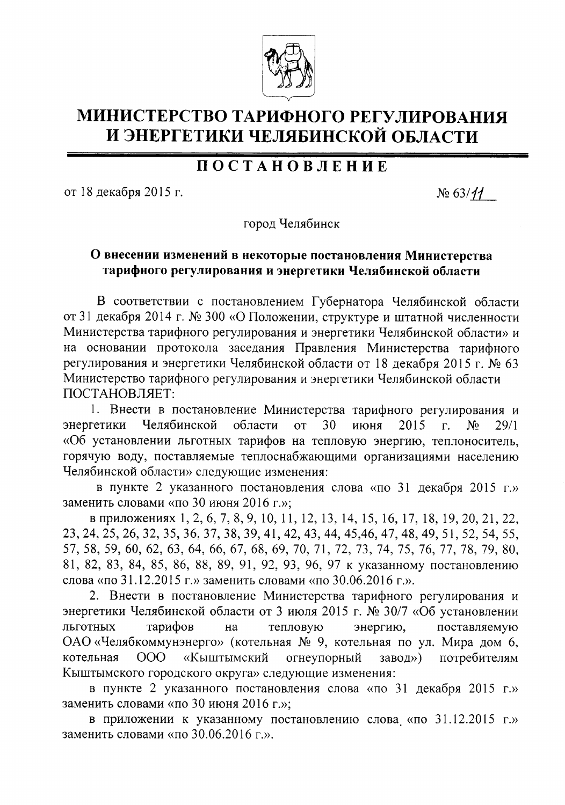

## МИНИСТЕРСТВО ТАРИФНОГО РЕГУЛИРОВАНИЯ И ЭНЕРГЕТИКИ ЧЕЛЯБИНСКОЙ ОБЛАСТИ

## **ПОСТАНОВЛЕНИЕ**

от 18 декабря 2015 г.

 $N_2$  63/11

город Челябинск

## О внесении изменений в некоторые постановления Министерства тарифного регулирования и энергетики Челябинской области

В соответствии с постановлением Губернатора Челябинской области от 31 декабря 2014 г. № 300 «О Положении, структуре и штатной численности Министерства тарифного регулирования и энергетики Челябинской области» и на основании протокола заседания Правления Министерства тарифного регулирования и энергетики Челябинской области от 18 декабря 2015 г. № 63 Министерство тарифного регулирования и энергетики Челябинской области ПОСТАНОВЛЯЕТ:

1. Внести в постановление Министерства тарифного регулирования и Челябинской области 30 энергетики  $\overline{O}$ июня 2015  $\overline{\Gamma}$ .  $No$  $29/1$ «Об установлении льготных тарифов на тепловую энергию, теплоноситель, горячую воду, поставляемые теплоснабжающими организациями населению Челябинской области» следующие изменения:

в пункте 2 указанного постановления слова «по 31 декабря 2015 г.» заменить словами «по 30 июня 2016 г.»;

в приложениях 1, 2, 6, 7, 8, 9, 10, 11, 12, 13, 14, 15, 16, 17, 18, 19, 20, 21, 22, 23, 24, 25, 26, 32, 35, 36, 37, 38, 39, 41, 42, 43, 44, 45, 46, 47, 48, 49, 51, 52, 54, 55, 57, 58, 59, 60, 62, 63, 64, 66, 67, 68, 69, 70, 71, 72, 73, 74, 75, 76, 77, 78, 79, 80, 81, 82, 83, 84, 85, 86, 88, 89, 91, 92, 93, 96, 97 к указанному постановлению слова «по 31.12.2015 г.» заменить словами «по 30.06.2016 г.».

2. Внести в постановление Министерства тарифного регулирования и энергетики Челябинской области от 3 июля 2015 г. № 30/7 «Об установлении ЛЬГОТНЫХ тарифов тепловую поставляемую на энергию, ОАО «Челябкоммунэнерго» (котельная № 9, котельная по ул. Мира дом 6, OOO «Кыштымский огнеупорный завод») котельная потребителям Кыштымского городского округа» следующие изменения:

в пункте 2 указанного постановления слова «по 31 декабря 2015 г.» заменить словами «по 30 июня 2016 г.»;

в приложении к указанному постановлению слова «по 31.12.2015 г.» заменить словами «по 30.06.2016 г.».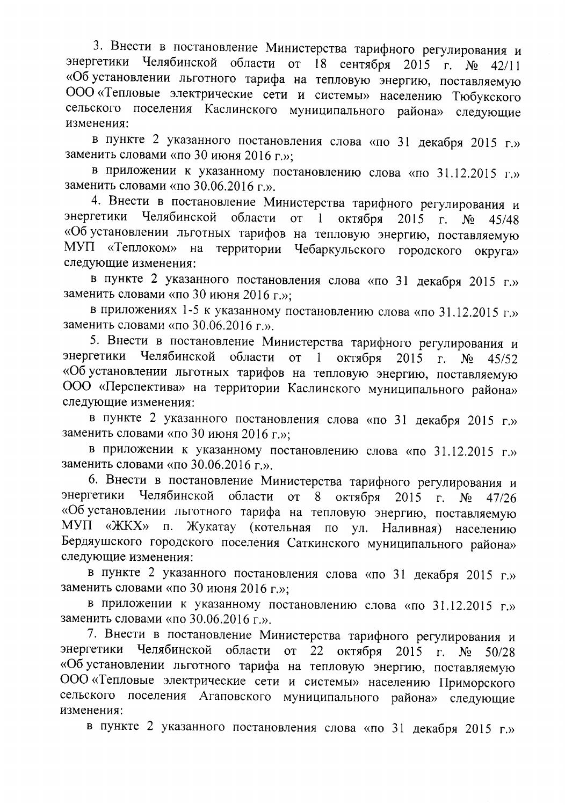3. Внести в постановление Министерства тарифного регулирования и энергетики Челябинской области от 18 сентября 2015 г. № 42/11 «Об установлении льготного тарифа на тепловую энергию, поставляемую ООО «Тепловые электрические сети и системы» населению Тюбукского сельского поселения Каслинского муниципального района» следующие изменения:

в пункте 2 указанного постановления слова «по 31 декабря 2015 г.» заменить словами «по 30 июня 2016 г.»:

в приложении к указанному постановлению слова «по 31.12.2015 г.» заменить словами «по 30.06.2016 г.».

4. Внести в постановление Министерства тарифного регулирования и энергетики Челябинской области от 1 октября 2015  $\Gamma$ .  $N_2$  $45/48$ «Об установлении льготных тарифов на тепловую энергию, поставляемую МУП «Теплоком» на территории Чебаркульского городского округа» следующие изменения:

в пункте 2 указанного постановления слова «по 31 декабря 2015 г.» заменить словами «по 30 июня 2016 г.»:

в приложениях 1-5 к указанному постановлению слова «по 31.12.2015 г.» заменить словами «по 30.06.2016 г.».

5. Внести в постановление Министерства тарифного регулирования и энергетики Челябинской области от 1 октября 2015  $\Gamma$ .  $N_2$  45/52 «Об установлении льготных тарифов на тепловую энергию, поставляемую ООО «Перспектива» на территории Каслинского муниципального района» следующие изменения:

в пункте 2 указанного постановления слова «по 31 декабря 2015 г.» заменить словами «по 30 июня 2016 г.»;

в приложении к указанному постановлению слова «по 31.12.2015 г.» заменить словами «по 30.06.2016 г.».

6. Внести в постановление Министерства тарифного регулирования и энергетики Челябинской области от  $8<sup>1</sup>$ октября 2015  $\Gamma$ .  $N_2$  $47/26$ «Об установлении льготного тарифа на тепловую энергию, поставляемую МУП «ЖКХ» п. Жукатау (котельная по ул. Наливная) населению Бердяушского городского поселения Саткинского муниципального района» следующие изменения:

в пункте 2 указанного постановления слова «по 31 декабря 2015 г.» заменить словами «по 30 июня 2016 г.»;

в приложении к указанному постановлению слова «по 31.12.2015 г.» заменить словами «по 30.06.2016 г.».

7. Внести в постановление Министерства тарифного регулирования и энергетики Челябинской области от 22 октября 2015 г.  $N_2$  50/28 «Об установлении льготного тарифа на тепловую энергию, поставляемую ООО «Тепловые электрические сети и системы» населению Приморского сельского поселения Агаповского муниципального района» следующие изменения:

в пункте 2 указанного постановления слова «по 31 декабря 2015 г.»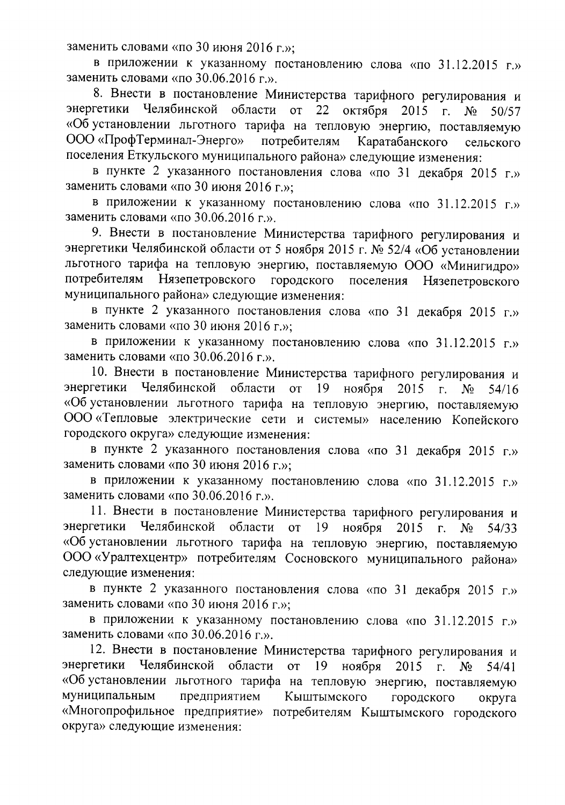заменить словами «по 30 июня 2016 г.»:

в приложении к указанному постановлению слова «по 31.12.2015 г.» заменить словами «по 30.06.2016 г.».

8. Внести в постановление Министерства тарифного регулирования и энергетики Челябинской области от 22 октября 2015 г.  $N_2$  $50/57$ «Об установлении льготного тарифа на тепловую энергию, поставляемую ООО «ПрофТерминал-Энерго» потребителям Каратабанского сельского поселения Еткульского муниципального района» следующие изменения:

в пункте 2 указанного постановления слова «по 31 декабря 2015 г.» заменить словами «по 30 июня 2016 г.»;

в приложении к указанному постановлению слова «по 31.12.2015 г.» заменить словами «по 30.06.2016 г.».

9. Внести в постановление Министерства тарифного регулирования и энергетики Челябинской области от 5 ноября 2015 г. № 52/4 «Об установлении льготного тарифа на тепловую энергию, поставляемую ООО «Минигидро» потребителям Нязепетровского городского поселения Нязепетровского муниципального района» следующие изменения:

в пункте 2 указанного постановления слова «по 31 декабря 2015 г.» заменить словами «по 30 июня 2016 г.»:

в приложении к указанному постановлению слова «по 31.12.2015 г.» заменить словами «по 30.06.2016 г.».

10. Внести в постановление Министерства тарифного регулирования и энергетики Челябинской области от 19 ноября 2015  $\Gamma$ .  $N<sub>o</sub>$  $54/16$ «Об установлении льготного тарифа на тепловую энергию, поставляемую ООО «Тепловые электрические сети и системы» населению Копейского городского округа» следующие изменения:

в пункте 2 указанного постановления слова «по 31 декабря 2015 г.» заменить словами «по 30 июня 2016 г.»;

в приложении к указанному постановлению слова «по 31.12.2015 г.» заменить словами «по 30.06.2016 г.».

11. Внести в постановление Министерства тарифного регулирования и энергетики Челябинской области от 19 ноября 2015 г.  $N_2$  $54/33$ «Об установлении льготного тарифа на тепловую энергию, поставляемую ООО «Уралтехцентр» потребителям Сосновского муниципального района» следующие изменения:

в пункте 2 указанного постановления слова «по 31 декабря 2015 г.» заменить словами «по 30 июня 2016 г.»;

в приложении к указанному постановлению слова «по 31.12.2015 г.» заменить словами «по 30.06.2016 г.».

12. Внести в постановление Министерства тарифного регулирования и энергетики Челябинской области от 19 ноября 2015  $\Gamma$ .  $N_2$  $54/41$ «Об установлении льготного тарифа на тепловую энергию, поставляемую муниципальным предприятием Кыштымского городского округа «Многопрофильное предприятие» потребителям Кыштымского городского округа» следующие изменения: